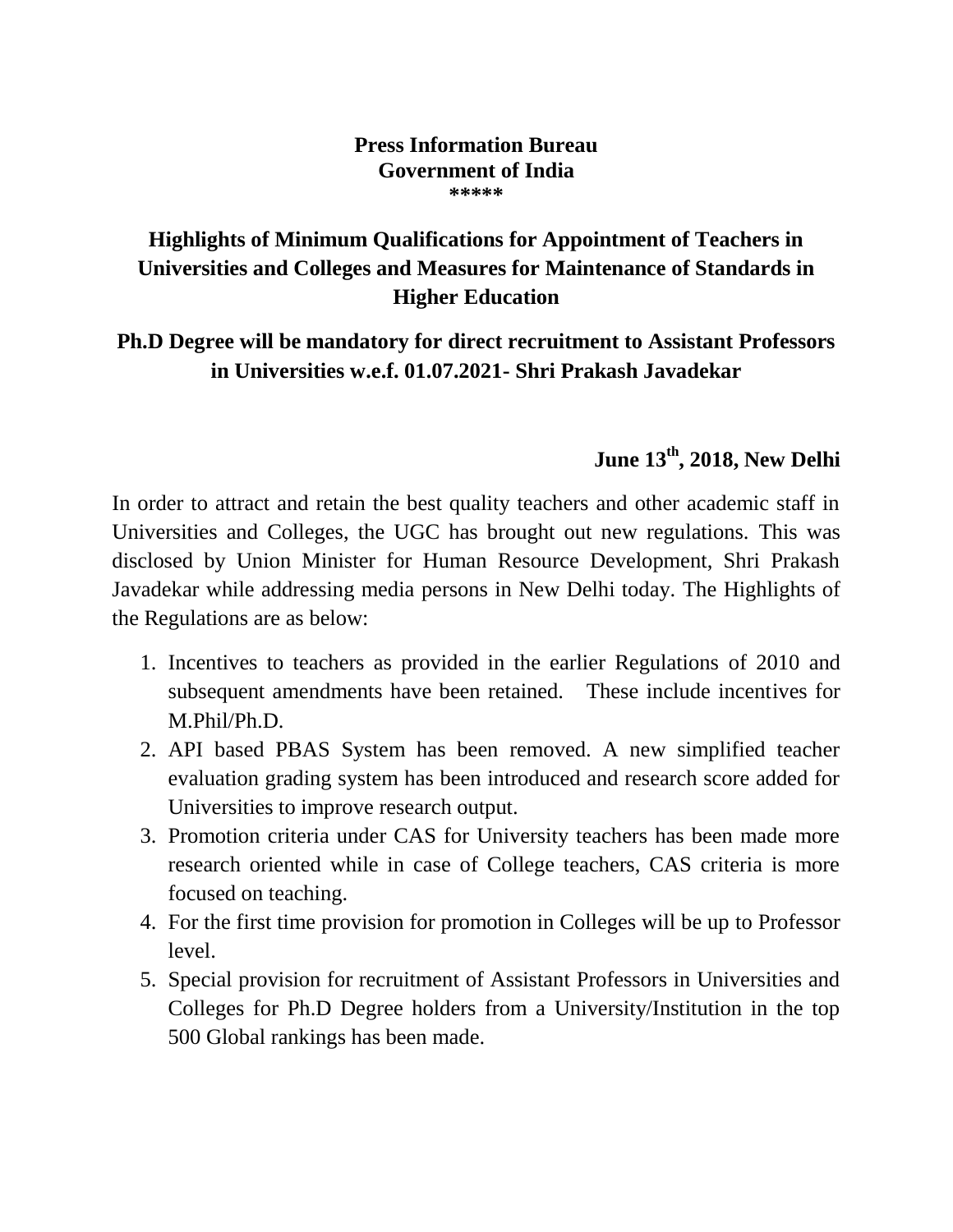## **Press Information Bureau Government of India \*\*\*\*\***

## **Highlights of Minimum Qualifications for Appointment of Teachers in Universities and Colleges and Measures for Maintenance of Standards in Higher Education**

## **Ph.D Degree will be mandatory for direct recruitment to Assistant Professors in Universities w.e.f. 01.07.2021- Shri Prakash Javadekar**

## **June 13th, 2018, New Delhi**

In order to attract and retain the best quality teachers and other academic staff in Universities and Colleges, the UGC has brought out new regulations. This was disclosed by Union Minister for Human Resource Development, Shri Prakash Javadekar while addressing media persons in New Delhi today. The Highlights of the Regulations are as below:

- 1. Incentives to teachers as provided in the earlier Regulations of 2010 and subsequent amendments have been retained. These include incentives for M.Phil/Ph.D.
- 2. API based PBAS System has been removed. A new simplified teacher evaluation grading system has been introduced and research score added for Universities to improve research output.
- 3. Promotion criteria under CAS for University teachers has been made more research oriented while in case of College teachers, CAS criteria is more focused on teaching.
- 4. For the first time provision for promotion in Colleges will be up to Professor level.
- 5. Special provision for recruitment of Assistant Professors in Universities and Colleges for Ph.D Degree holders from a University/Institution in the top 500 Global rankings has been made.